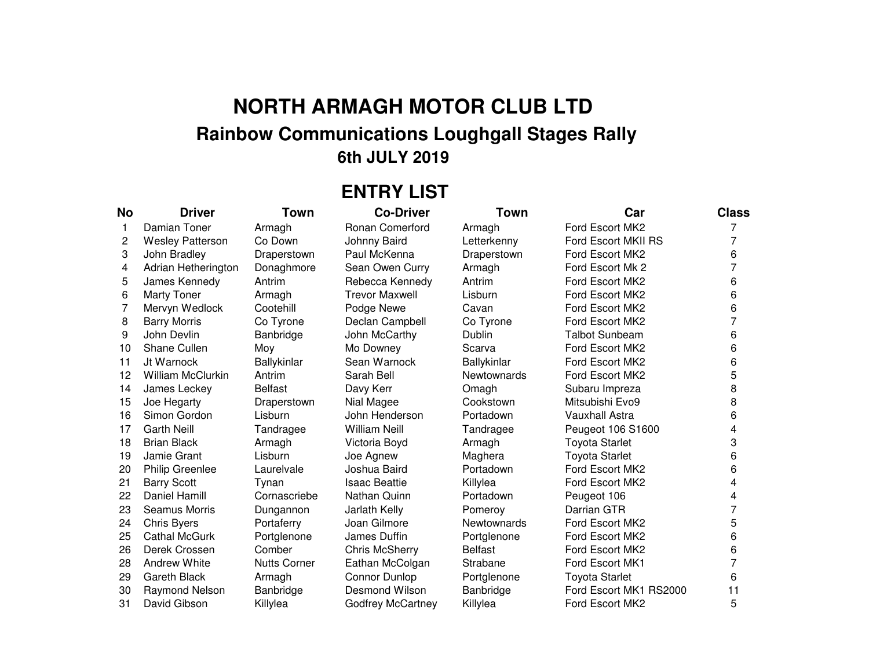## **NORTH ARMAGH MOTOR CLUB LTD Rainbow Communications Loughgall Stages Rally 6th JULY 2019**

## **ENTRY LIST**

| No           | <b>Driver</b>            | Town                | <b>Co-Driver</b>         | <b>Town</b>        | Car                    | <b>Class</b>   |
|--------------|--------------------------|---------------------|--------------------------|--------------------|------------------------|----------------|
| $\mathbf{1}$ | Damian Toner             | Armagh              | <b>Ronan Comerford</b>   | Armagh             | Ford Escort MK2        |                |
| 2            | <b>Wesley Patterson</b>  | Co Down             | Johnny Baird             | Letterkenny        | Ford Escort MKII RS    | 7              |
| 3            | John Bradley             | Draperstown         | Paul McKenna             | Draperstown        | Ford Escort MK2        | 6              |
| 4            | Adrian Hetherington      | Donaghmore          | Sean Owen Curry          | Armagh             | Ford Escort Mk 2       | $\overline{7}$ |
| 5            | James Kennedy            | Antrim              | Rebecca Kennedy          | Antrim             | Ford Escort MK2        | 6              |
| 6            | <b>Marty Toner</b>       | Armagh              | <b>Trevor Maxwell</b>    | Lisburn            | Ford Escort MK2        | 6              |
| 7            | Mervyn Wedlock           | Cootehill           | Podge Newe               | Cavan              | Ford Escort MK2        | 6              |
| 8            | <b>Barry Morris</b>      | Co Tyrone           | Declan Campbell          | Co Tyrone          | Ford Escort MK2        | 7              |
| 9            | John Devlin              | Banbridge           | John McCarthy            | <b>Dublin</b>      | <b>Talbot Sunbeam</b>  | 6              |
| 10           | Shane Cullen             | Moy                 | Mo Downey                | Scarva             | Ford Escort MK2        | 6              |
| 11           | Jt Warnock               | Ballykinlar         | Sean Warnock             | Ballykinlar        | Ford Escort MK2        | 6              |
| 12           | <b>William McClurkin</b> | Antrim              | Sarah Bell               | <b>Newtownards</b> | Ford Escort MK2        | 5              |
| 14           | James Leckey             | <b>Belfast</b>      | Davy Kerr                | Omagh              | Subaru Impreza         | 8              |
| 15           | Joe Hegarty              | Draperstown         | Nial Magee               | Cookstown          | Mitsubishi Evo9        | 8              |
| 16           | Simon Gordon             | Lisburn             | John Henderson           | Portadown          | <b>Vauxhall Astra</b>  | 6              |
| 17           | <b>Garth Neill</b>       | Tandragee           | <b>William Neill</b>     | Tandragee          | Peugeot 106 S1600      | 4              |
| 18           | <b>Brian Black</b>       | Armagh              | Victoria Boyd            | Armagh             | <b>Toyota Starlet</b>  | 3              |
| 19           | Jamie Grant              | Lisburn             | Joe Agnew                | Maghera            | <b>Toyota Starlet</b>  | 6              |
| 20           | <b>Philip Greenlee</b>   | Laurelvale          | Joshua Baird             | Portadown          | Ford Escort MK2        | 6              |
| 21           | <b>Barry Scott</b>       | Tynan               | <b>Isaac Beattie</b>     | Killylea           | Ford Escort MK2        | 4              |
| 22           | Daniel Hamill            | Cornascriebe        | Nathan Quinn             | Portadown          | Peugeot 106            | 4              |
| 23           | <b>Seamus Morris</b>     | Dungannon           | Jarlath Kelly            | Pomeroy            | Darrian GTR            | 7              |
| 24           | <b>Chris Byers</b>       | Portaferry          | Joan Gilmore             | <b>Newtownards</b> | Ford Escort MK2        | 5              |
| 25           | <b>Cathal McGurk</b>     | Portglenone         | James Duffin             | Portglenone        | Ford Escort MK2        | 6              |
| 26           | Derek Crossen            | Comber              | <b>Chris McSherry</b>    | <b>Belfast</b>     | Ford Escort MK2        | 6              |
| 28           | <b>Andrew White</b>      | <b>Nutts Corner</b> | Eathan McColgan          | Strabane           | <b>Ford Escort MK1</b> | 7              |
| 29           | <b>Gareth Black</b>      | Armagh              | <b>Connor Dunlop</b>     | Portglenone        | <b>Toyota Starlet</b>  | 6              |
| 30           | Raymond Nelson           | Banbridge           | Desmond Wilson           | Banbridge          | Ford Escort MK1 RS2000 | 11             |
| 31           | David Gibson             | Killylea            | <b>Godfrey McCartney</b> | Killylea           | Ford Escort MK2        | 5              |

- 
- 31 David Gibson Killylea Godfrey McCartney Killylea Ford Escort MK2